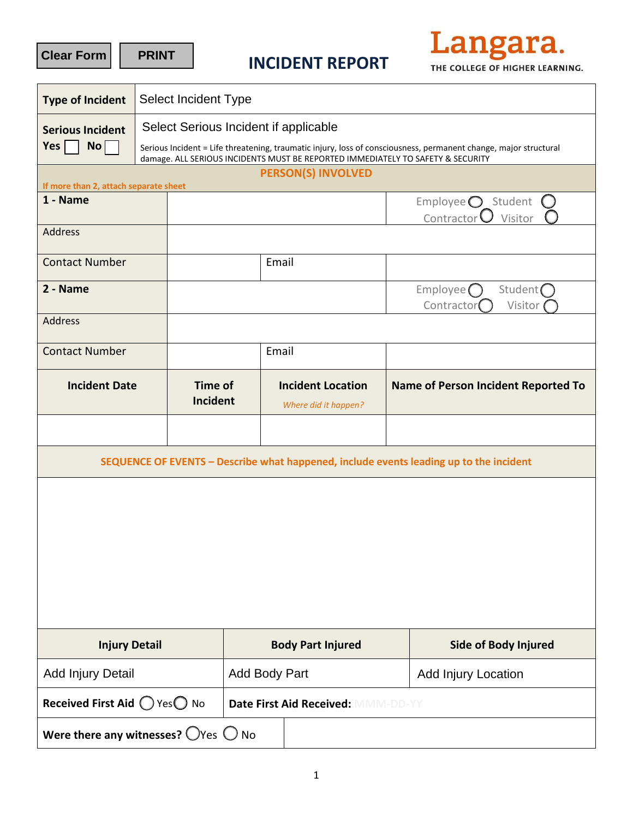| <b>Clear Form</b> |  |
|-------------------|--|
|-------------------|--|



| <b>Clear Form</b>                                                | <b>PRINT</b>                                                                                                                                                                                                                                 |                            | <b>INCIDENT REPORT</b>                           | --------<br>THE COLLEGE OF HIGHER LEARNING.                                            |  |
|------------------------------------------------------------------|----------------------------------------------------------------------------------------------------------------------------------------------------------------------------------------------------------------------------------------------|----------------------------|--------------------------------------------------|----------------------------------------------------------------------------------------|--|
| <b>Type of Incident</b>                                          | Select Incident Type                                                                                                                                                                                                                         |                            |                                                  |                                                                                        |  |
| <b>Serious Incident</b><br><b>No</b><br>Yes                      | Select Serious Incident if applicable<br>Serious Incident = Life threatening, traumatic injury, loss of consciousness, permanent change, major structural<br>damage. ALL SERIOUS INCIDENTS MUST BE REPORTED IMMEDIATELY TO SAFETY & SECURITY |                            |                                                  |                                                                                        |  |
| If more than 2, attach separate sheet                            |                                                                                                                                                                                                                                              |                            | <b>PERSON(S) INVOLVED</b>                        |                                                                                        |  |
| 1 - Name                                                         |                                                                                                                                                                                                                                              |                            |                                                  | $Employee \bigodot$ Student<br>Contractor $\mathbf{\mathsf{U}}$<br>Visitor             |  |
| Address                                                          |                                                                                                                                                                                                                                              |                            |                                                  |                                                                                        |  |
| <b>Contact Number</b>                                            |                                                                                                                                                                                                                                              |                            | Email                                            |                                                                                        |  |
| 2 - Name                                                         |                                                                                                                                                                                                                                              |                            |                                                  | Employee<br>Student $\bigcap$<br>Visitor<br>Contractor                                 |  |
| Address                                                          |                                                                                                                                                                                                                                              |                            |                                                  |                                                                                        |  |
| <b>Contact Number</b>                                            |                                                                                                                                                                                                                                              |                            | Email                                            |                                                                                        |  |
| <b>Incident Date</b>                                             |                                                                                                                                                                                                                                              | <b>Time of</b><br>Incident | <b>Incident Location</b><br>Where did it happen? | <b>Name of Person Incident Reported To</b>                                             |  |
|                                                                  |                                                                                                                                                                                                                                              |                            |                                                  |                                                                                        |  |
|                                                                  |                                                                                                                                                                                                                                              |                            |                                                  | SEQUENCE OF EVENTS - Describe what happened, include events leading up to the incident |  |
|                                                                  |                                                                                                                                                                                                                                              |                            |                                                  |                                                                                        |  |
|                                                                  |                                                                                                                                                                                                                                              |                            |                                                  |                                                                                        |  |
|                                                                  |                                                                                                                                                                                                                                              |                            |                                                  |                                                                                        |  |
|                                                                  |                                                                                                                                                                                                                                              |                            |                                                  |                                                                                        |  |
|                                                                  |                                                                                                                                                                                                                                              |                            |                                                  |                                                                                        |  |
| <b>Injury Detail</b>                                             |                                                                                                                                                                                                                                              |                            | <b>Body Part Injured</b>                         | <b>Side of Body Injured</b>                                                            |  |
| <b>Add Injury Detail</b>                                         |                                                                                                                                                                                                                                              |                            | <b>Add Body Part</b>                             | <b>Add Injury Location</b>                                                             |  |
| Received First Aid VesO No<br>Date First Aid Received: MMM-DD-YY |                                                                                                                                                                                                                                              |                            |                                                  |                                                                                        |  |
| Were there any witnesses? $\bigcirc$ Yes $\bigcirc$ No           |                                                                                                                                                                                                                                              |                            |                                                  |                                                                                        |  |